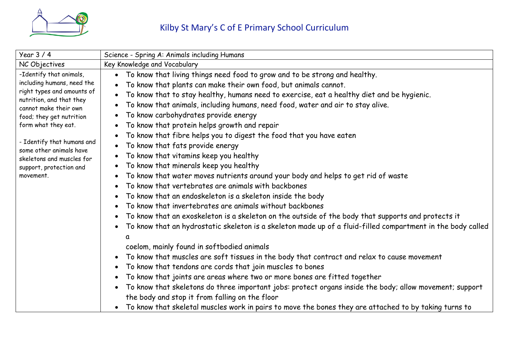

| Year $3/4$                                                                                                                                                                                                                                                                                                                | Science - Spring A: Animals including Humans                                                                                                                                                                                                                                                                                                                                                                                                                                                                                                                                                                                                                                                                                                                                                                                                                                                                                                                                                                                                                                                                                                                                                                                                                                                                                                                                                                                                                                                                                                                                                    |
|---------------------------------------------------------------------------------------------------------------------------------------------------------------------------------------------------------------------------------------------------------------------------------------------------------------------------|-------------------------------------------------------------------------------------------------------------------------------------------------------------------------------------------------------------------------------------------------------------------------------------------------------------------------------------------------------------------------------------------------------------------------------------------------------------------------------------------------------------------------------------------------------------------------------------------------------------------------------------------------------------------------------------------------------------------------------------------------------------------------------------------------------------------------------------------------------------------------------------------------------------------------------------------------------------------------------------------------------------------------------------------------------------------------------------------------------------------------------------------------------------------------------------------------------------------------------------------------------------------------------------------------------------------------------------------------------------------------------------------------------------------------------------------------------------------------------------------------------------------------------------------------------------------------------------------------|
| NC Objectives                                                                                                                                                                                                                                                                                                             | Key Knowledge and Vocabulary                                                                                                                                                                                                                                                                                                                                                                                                                                                                                                                                                                                                                                                                                                                                                                                                                                                                                                                                                                                                                                                                                                                                                                                                                                                                                                                                                                                                                                                                                                                                                                    |
| -Identify that animals,<br>including humans, need the<br>right types and amounts of<br>nutrition, and that they<br>cannot make their own<br>food; they get nutrition<br>form what they eat.<br>- Identify that humans and<br>some other animals have<br>skeletons and muscles for<br>support, protection and<br>movement. | To know that living things need food to grow and to be strong and healthy.<br>To know that plants can make their own food, but animals cannot.<br>To know that to stay healthy, humans need to exercise, eat a healthy diet and be hygienic.<br>To know that animals, including humans, need food, water and air to stay alive.<br>To know carbohydrates provide energy<br>To know that protein helps growth and repair<br>To know that fibre helps you to digest the food that you have eaten<br>To know that fats provide energy<br>To know that vitamins keep you healthy<br>$\bullet$<br>To know that minerals keep you healthy<br>To know that water moves nutrients around your body and helps to get rid of waste<br>To know that vertebrates are animals with backbones<br>To know that an endoskeleton is a skeleton inside the body<br>To know that invertebrates are animals without backbones<br>To know that an exoskeleton is a skeleton on the outside of the body that supports and protects it<br>To know that an hydrostatic skeleton is a skeleton made up of a fluid-filled compartment in the body called<br>coelom, mainly found in softbodied animals<br>To know that muscles are soft tissues in the body that contract and relax to cause movement<br>To know that tendons are cords that join muscles to bones<br>$\bullet$<br>To know that joints are areas where two or more bones are fitted together<br>To know that skeletons do three important jobs: protect organs inside the body; allow movement; support<br>the body and stop it from falling on the floor |
|                                                                                                                                                                                                                                                                                                                           | To know that skeletal muscles work in pairs to move the bones they are attached to by taking turns to                                                                                                                                                                                                                                                                                                                                                                                                                                                                                                                                                                                                                                                                                                                                                                                                                                                                                                                                                                                                                                                                                                                                                                                                                                                                                                                                                                                                                                                                                           |